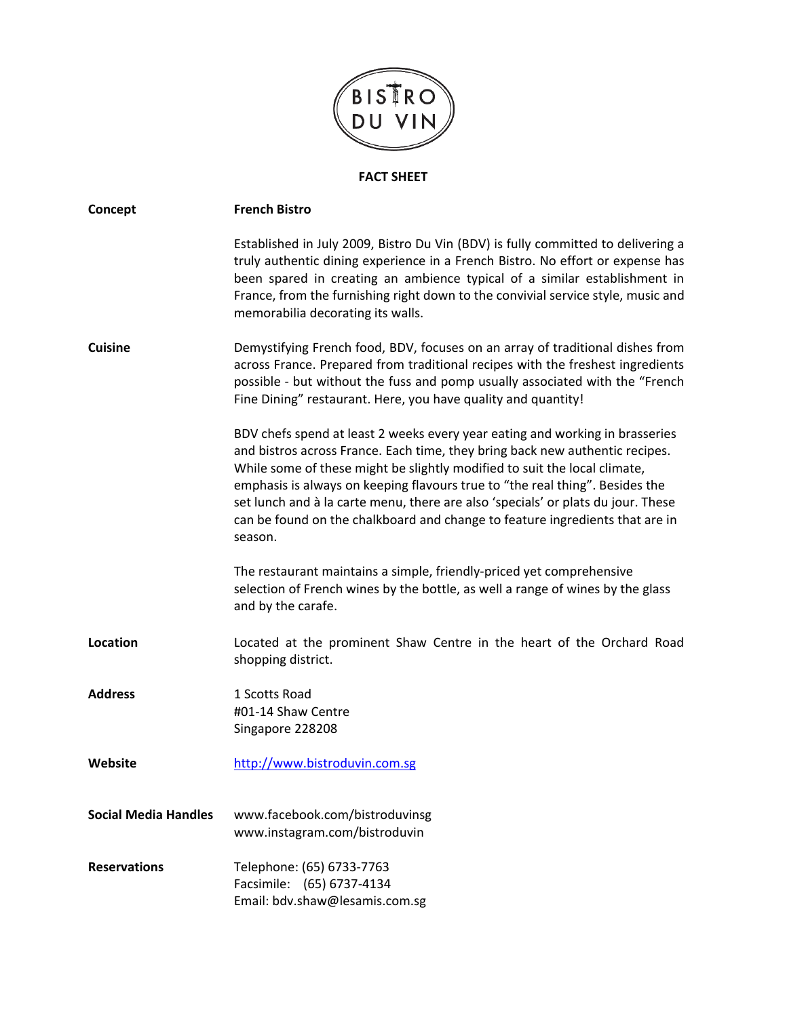

## **FACT SHEET**

| Concept                     | <b>French Bistro</b>                                                                                                                                                                                                                                                                                                                                                                                                                                                                                     |
|-----------------------------|----------------------------------------------------------------------------------------------------------------------------------------------------------------------------------------------------------------------------------------------------------------------------------------------------------------------------------------------------------------------------------------------------------------------------------------------------------------------------------------------------------|
|                             | Established in July 2009, Bistro Du Vin (BDV) is fully committed to delivering a<br>truly authentic dining experience in a French Bistro. No effort or expense has<br>been spared in creating an ambience typical of a similar establishment in<br>France, from the furnishing right down to the convivial service style, music and<br>memorabilia decorating its walls.                                                                                                                                 |
| <b>Cuisine</b>              | Demystifying French food, BDV, focuses on an array of traditional dishes from<br>across France. Prepared from traditional recipes with the freshest ingredients<br>possible - but without the fuss and pomp usually associated with the "French<br>Fine Dining" restaurant. Here, you have quality and quantity!                                                                                                                                                                                         |
|                             | BDV chefs spend at least 2 weeks every year eating and working in brasseries<br>and bistros across France. Each time, they bring back new authentic recipes.<br>While some of these might be slightly modified to suit the local climate,<br>emphasis is always on keeping flavours true to "the real thing". Besides the<br>set lunch and à la carte menu, there are also 'specials' or plats du jour. These<br>can be found on the chalkboard and change to feature ingredients that are in<br>season. |
|                             | The restaurant maintains a simple, friendly-priced yet comprehensive<br>selection of French wines by the bottle, as well a range of wines by the glass<br>and by the carafe.                                                                                                                                                                                                                                                                                                                             |
| Location                    | Located at the prominent Shaw Centre in the heart of the Orchard Road<br>shopping district.                                                                                                                                                                                                                                                                                                                                                                                                              |
| <b>Address</b>              | 1 Scotts Road<br>#01-14 Shaw Centre<br>Singapore 228208                                                                                                                                                                                                                                                                                                                                                                                                                                                  |
| Website                     | http://www.bistroduvin.com.sg                                                                                                                                                                                                                                                                                                                                                                                                                                                                            |
| <b>Social Media Handles</b> | www.facebook.com/bistroduvinsg<br>www.instagram.com/bistroduvin                                                                                                                                                                                                                                                                                                                                                                                                                                          |
| <b>Reservations</b>         | Telephone: (65) 6733-7763<br>Facsimile: (65) 6737-4134<br>Email: bdv.shaw@lesamis.com.sg                                                                                                                                                                                                                                                                                                                                                                                                                 |